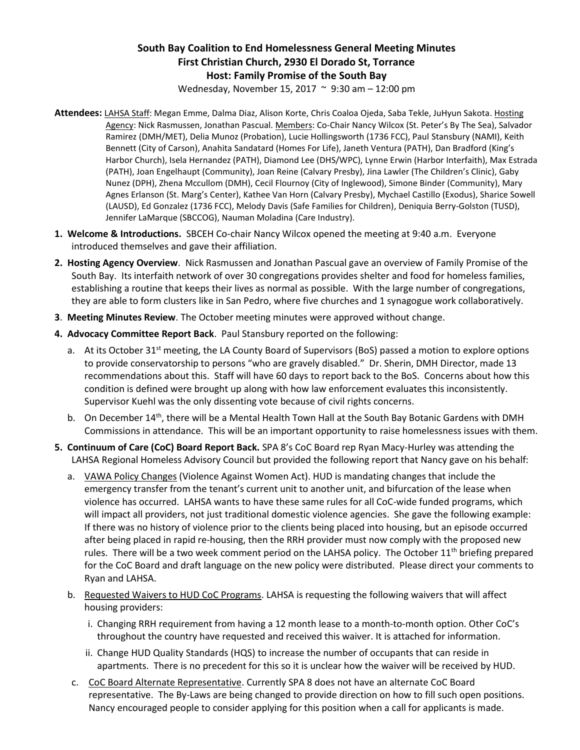## **South Bay Coalition to End Homelessness General Meeting Minutes First Christian Church, 2930 El Dorado St, Torrance Host: Family Promise of the South Bay**

Wednesday, November 15, 2017 ~ 9:30 am – 12:00 pm

- **Attendees:** LAHSA Staff: Megan Emme, Dalma Diaz, Alison Korte, Chris Coaloa Ojeda, Saba Tekle, JuHyun Sakota. Hosting Agency: Nick Rasmussen, Jonathan Pascual. Members: Co-Chair Nancy Wilcox (St. Peter's By The Sea), Salvador Ramirez (DMH/MET), Delia Munoz (Probation), Lucie Hollingsworth (1736 FCC), Paul Stansbury (NAMI), Keith Bennett (City of Carson), Anahita Sandatard (Homes For Life), Janeth Ventura (PATH), Dan Bradford (King's Harbor Church), Isela Hernandez (PATH), Diamond Lee (DHS/WPC), Lynne Erwin (Harbor Interfaith), Max Estrada (PATH), Joan Engelhaupt (Community), Joan Reine (Calvary Presby), Jina Lawler (The Children's Clinic), Gaby Nunez (DPH), Zhena Mccullom (DMH), Cecil Flournoy (City of Inglewood), Simone Binder (Community), Mary Agnes Erlanson (St. Marg's Center), Kathee Van Horn (Calvary Presby), Mychael Castillo (Exodus), Sharice Sowell (LAUSD), Ed Gonzalez (1736 FCC), Melody Davis (Safe Families for Children), Deniquia Berry-Golston (TUSD), Jennifer LaMarque (SBCCOG), Nauman Moladina (Care Industry).
- **1. Welcome & Introductions.** SBCEH Co-chair Nancy Wilcox opened the meeting at 9:40 a.m. Everyone introduced themselves and gave their affiliation.
- **2. Hosting Agency Overview**. Nick Rasmussen and Jonathan Pascual gave an overview of Family Promise of the South Bay. Its interfaith network of over 30 congregations provides shelter and food for homeless families, establishing a routine that keeps their lives as normal as possible. With the large number of congregations, they are able to form clusters like in San Pedro, where five churches and 1 synagogue work collaboratively.
- **3**. **Meeting Minutes Review**. The October meeting minutes were approved without change.
- **4. Advocacy Committee Report Back**. Paul Stansbury reported on the following:
	- a. At its October 31<sup>st</sup> meeting, the LA County Board of Supervisors (BoS) passed a motion to explore options to provide conservatorship to persons "who are gravely disabled." Dr. Sherin, DMH Director, made 13 recommendations about this. Staff will have 60 days to report back to the BoS. Concerns about how this condition is defined were brought up along with how law enforcement evaluates this inconsistently. Supervisor Kuehl was the only dissenting vote because of civil rights concerns.
	- b. On December 14<sup>th</sup>, there will be a Mental Health Town Hall at the South Bay Botanic Gardens with DMH Commissions in attendance. This will be an important opportunity to raise homelessness issues with them.
- **5. Continuum of Care (CoC) Board Report Back.** SPA 8's CoC Board rep Ryan Macy-Hurley was attending the LAHSA Regional Homeless Advisory Council but provided the following report that Nancy gave on his behalf:
	- a. VAWA Policy Changes (Violence Against Women Act). HUD is mandating changes that include the emergency transfer from the tenant's current unit to another unit, and bifurcation of the lease when violence has occurred. LAHSA wants to have these same rules for all CoC-wide funded programs, which will impact all providers, not just traditional domestic violence agencies. She gave the following example: If there was no history of violence prior to the clients being placed into housing, but an episode occurred after being placed in rapid re-housing, then the RRH provider must now comply with the proposed new rules. There will be a two week comment period on the LAHSA policy. The October  $11<sup>th</sup>$  briefing prepared for the CoC Board and draft language on the new policy were distributed. Please direct your comments to Ryan and LAHSA.
	- b. Requested Waivers to HUD CoC Programs. LAHSA is requesting the following waivers that will affect housing providers:
		- i. Changing RRH requirement from having a 12 month lease to a month-to-month option. Other CoC's throughout the country have requested and received this waiver. It is attached for information.
		- ii. Change HUD Quality Standards (HQS) to increase the number of occupants that can reside in apartments. There is no precedent for this so it is unclear how the waiver will be received by HUD.
	- c. CoC Board Alternate Representative. Currently SPA 8 does not have an alternate CoC Board representative. The By-Laws are being changed to provide direction on how to fill such open positions. Nancy encouraged people to consider applying for this position when a call for applicants is made.